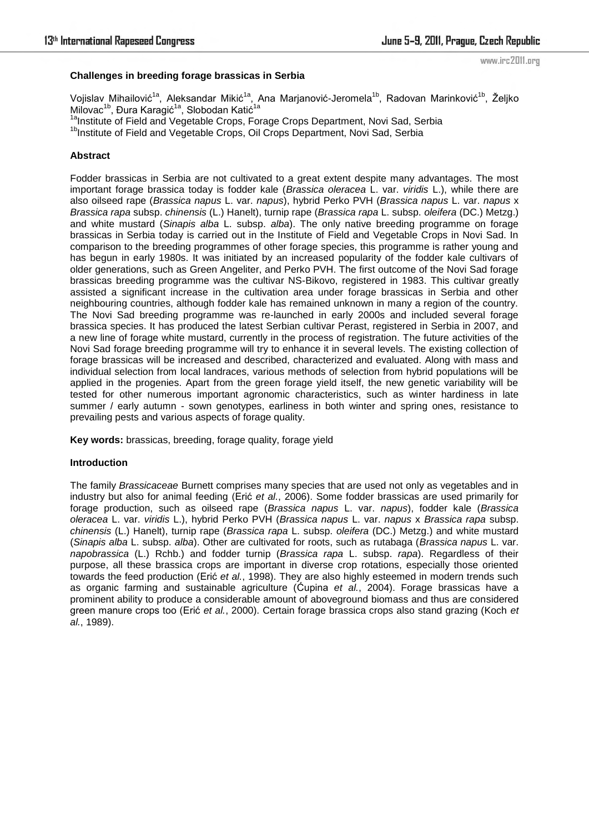## **Challenges in breeding forage brassicas in Serbia**

Vojislav Mihailović<sup>1a</sup>, Aleksandar Mikić<sup>1a</sup>, Ana Marjanović-Jeromela<sup>1b</sup>, Radovan Marinković<sup>1b</sup>, Željko Milovac<sup>1b</sup>, Đura Karagić<sup>1a</sup>, Slobodan Katić<sup>1a</sup>

<sup>1a</sup>Institute of Field and Vegetable Crops, Forage Crops Department, Novi Sad, Serbia

<sup>1b</sup>Institute of Field and Vegetable Crops, Oil Crops Department, Novi Sad, Serbia

# **Abstract**

Fodder brassicas in Serbia are not cultivated to a great extent despite many advantages. The most important forage brassica today is fodder kale (*Brassica oleracea* L. var. *viridis* L.), while there are also oilseed rape (*Brassica napus* L. var. *napus*), hybrid Perko PVH (*Brassica napus* L. var. *napus* x *Brassica rapa* subsp. *chinensis* (L.) Hanelt), turnip rape (*Brassica rapa* L. subsp. *oleifera* (DC.) Metzg.) and white mustard (*Sinapis alba* L. subsp. *alba*). The only native breeding programme on forage brassicas in Serbia today is carried out in the Institute of Field and Vegetable Crops in Novi Sad. In comparison to the breeding programmes of other forage species, this programme is rather young and has begun in early 1980s. It was initiated by an increased popularity of the fodder kale cultivars of older generations, such as Green Angeliter, and Perko PVH. The first outcome of the Novi Sad forage brassicas breeding programme was the cultivar NS-Bikovo, registered in 1983. This cultivar greatly assisted a significant increase in the cultivation area under forage brassicas in Serbia and other neighbouring countries, although fodder kale has remained unknown in many a region of the country. The Novi Sad breeding programme was re-launched in early 2000s and included several forage brassica species. It has produced the latest Serbian cultivar Perast, registered in Serbia in 2007, and a new line of forage white mustard, currently in the process of registration. The future activities of the Novi Sad forage breeding programme will try to enhance it in several levels. The existing collection of forage brassicas will be increased and described, characterized and evaluated. Along with mass and individual selection from local landraces, various methods of selection from hybrid populations will be applied in the progenies. Apart from the green forage yield itself, the new genetic variability will be tested for other numerous important agronomic characteristics, such as winter hardiness in late summer / early autumn - sown genotypes, earliness in both winter and spring ones, resistance to prevailing pests and various aspects of forage quality.

**Key words:** brassicas, breeding, forage quality, forage yield

## **Introduction**

The family *Brassicaceae* Burnett comprises many species that are used not only as vegetables and in industry but also for animal feeding (Erić *et al.*, 2006). Some fodder brassicas are used primarily for forage production, such as oilseed rape (*Brassica napus* L. var. *napus*), fodder kale (*Brassica oleracea* L. var. *viridis* L.), hybrid Perko PVH (*Brassica napus* L. var. *napus* x *Brassica rapa* subsp. *chinensis* (L.) Hanelt), turnip rape (*Brassica rapa* L. subsp. *oleifera* (DC.) Metzg.) and white mustard (*Sinapis alba* L. subsp. *alba*). Other are cultivated for roots, such as rutabaga (*Brassica napus* L. var. *napobrassica* (L.) Rchb.) and fodder turnip (*Brassica rapa* L. subsp. *rapa*). Regardless of their purpose, all these brassica crops are important in diverse crop rotations, especially those oriented towards the feed production (Erić *et al.*, 1998). They are also highly esteemed in modern trends such as organic farming and sustainable agriculture (Ćupina *et al.*, 2004). Forage brassicas have a prominent ability to produce a considerable amount of aboveground biomass and thus are considered green manure crops too (Erić *et al.*, 2000). Certain forage brassica crops also stand grazing (Koch *et al.*, 1989).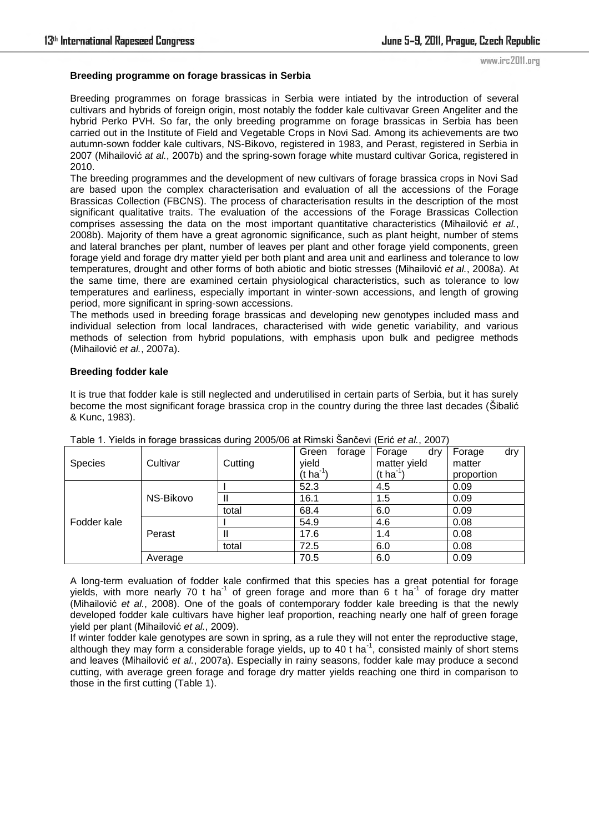## **Breeding programme on forage brassicas in Serbia**

Breeding programmes on forage brassicas in Serbia were intiated by the introduction of several cultivars and hybrids of foreign origin, most notably the fodder kale cultivavar Green Angeliter and the hybrid Perko PVH. So far, the only breeding programme on forage brassicas in Serbia has been carried out in the Institute of Field and Vegetable Crops in Novi Sad. Among its achievements are two autumn-sown fodder kale cultivars, NS-Bikovo, registered in 1983, and Perast, registered in Serbia in 2007 (Mihailović *at al.*, 2007b) and the spring-sown forage white mustard cultivar Gorica, registered in 2010.

The breeding programmes and the development of new cultivars of forage brassica crops in Novi Sad are based upon the complex characterisation and evaluation of all the accessions of the Forage Brassicas Collection (FBCNS). The process of characterisation results in the description of the most significant qualitative traits. The evaluation of the accessions of the Forage Brassicas Collection comprises assessing the data on the most important quantitative characteristics (Mihailović *et al.*, 2008b). Majority of them have a great agronomic significance, such as plant height, number of stems and lateral branches per plant, number of leaves per plant and other forage yield components, green forage yield and forage dry matter yield per both plant and area unit and earliness and tolerance to low temperatures, drought and other forms of both abiotic and biotic stresses (Mihailović *et al.*, 2008a). At the same time, there are examined certain physiological characteristics, such as tolerance to low temperatures and earliness, especially important in winter-sown accessions, and length of growing period, more significant in spring-sown accessions.

The methods used in breeding forage brassicas and developing new genotypes included mass and individual selection from local landraces, characterised with wide genetic variability, and various methods of selection from hybrid populations, with emphasis upon bulk and pedigree methods (Mihailović *et al.*, 2007a).

## **Breeding fodder kale**

It is true that fodder kale is still neglected and underutilised in certain parts of Serbia, but it has surely become the most significant forage brassica crop in the country during the three last decades (Šibalić & Kunc, 1983).

| <b>Species</b> | Cultivar  | Cutting | Green<br>forage<br>yield<br>(t ha <sup>-1</sup> ) | Forage<br>dry<br>matter yield<br>$(t \, ha^{-1})$ | dry<br>Forage<br>matter<br>proportion |
|----------------|-----------|---------|---------------------------------------------------|---------------------------------------------------|---------------------------------------|
| Fodder kale    | NS-Bikovo |         | 52.3                                              | 4.5                                               | 0.09                                  |
|                |           |         | 16.1                                              | 1.5                                               | 0.09                                  |
|                |           | total   | 68.4                                              | 6.0                                               | 0.09                                  |
|                | Perast    |         | 54.9                                              | 4.6                                               | 0.08                                  |
|                |           |         | 17.6                                              | 1.4                                               | 0.08                                  |
|                |           | total   | 72.5                                              | 6.0                                               | 0.08                                  |
|                | Average   |         | 70.5                                              | 6.0                                               | 0.09                                  |

Table 1. Yields in forage brassicas during 2005/06 at Rimski Šančevi (Erić et al., 2007)

A long-term evaluation of fodder kale confirmed that this species has a great potential for forage yields, with more nearly 70 t ha<sup>-1</sup> of green forage and more than 6 t ha<sup>-1</sup> of forage dry matter (Mihailović *et al.*, 2008). One of the goals of contemporary fodder kale breeding is that the newly developed fodder kale cultivars have higher leaf proportion, reaching nearly one half of green forage yield per plant (Mihailović *et al.*, 2009).

If winter fodder kale genotypes are sown in spring, as a rule they will not enter the reproductive stage, although they may form a considerable forage yields, up to 40 t ha<sup>-1</sup>, consisted mainly of short stems and leaves (Mihailović *et al.*, 2007a). Especially in rainy seasons, fodder kale may produce a second cutting, with average green forage and forage dry matter yields reaching one third in comparison to those in the first cutting (Table 1).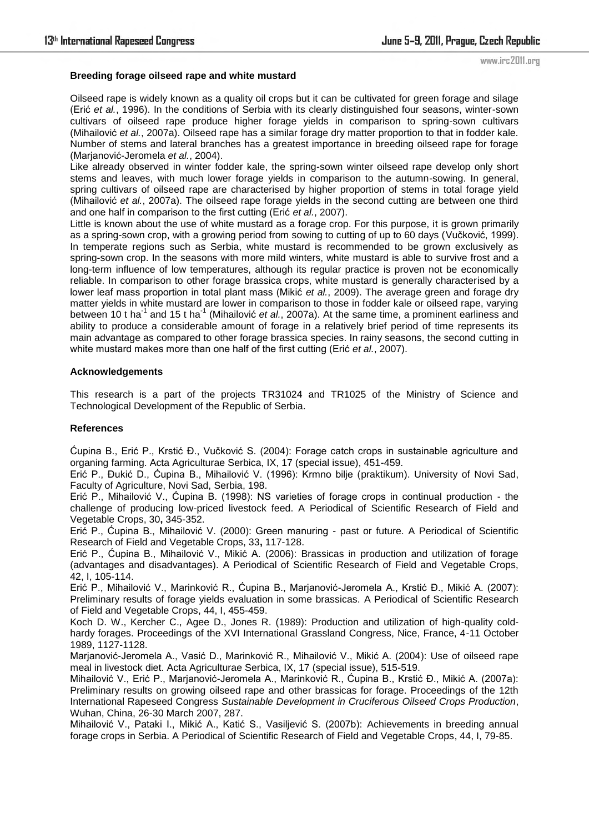#### **Breeding forage oilseed rape and white mustard**

Oilseed rape is widely known as a quality oil crops but it can be cultivated for green forage and silage (Erić *et al.*, 1996). In the conditions of Serbia with its clearly distinguished four seasons, winter-sown cultivars of oilseed rape produce higher forage yields in comparison to spring-sown cultivars (Mihailović *et al.*, 2007a). Oilseed rape has a similar forage dry matter proportion to that in fodder kale. Number of stems and lateral branches has a greatest importance in breeding oilseed rape for forage (Marjanović-Jeromela *et al.*, 2004).

Like already observed in winter fodder kale, the spring-sown winter oilseed rape develop only short stems and leaves, with much lower forage yields in comparison to the autumn-sowing. In general, spring cultivars of oilseed rape are characterised by higher proportion of stems in total forage yield (Mihailović *et al.*, 2007a). The oilseed rape forage yields in the second cutting are between one third and one half in comparison to the first cutting (Erić *et al.*, 2007).

Little is known about the use of white mustard as a forage crop. For this purpose, it is grown primarily as a spring-sown crop, with a growing period from sowing to cutting of up to 60 days (Vuĉković, 1999). In temperate regions such as Serbia, white mustard is recommended to be grown exclusively as spring-sown crop. In the seasons with more mild winters, white mustard is able to survive frost and a long-term influence of low temperatures, although its regular practice is proven not be economically reliable. In comparison to other forage brassica crops, white mustard is generally characterised by a lower leaf mass proportion in total plant mass (Mikić *et al.*, 2009). The average green and forage dry matter yields in white mustard are lower in comparison to those in fodder kale or oilseed rape, varying between 10 t ha<sup>-1</sup> and 15 t ha<sup>-1</sup> (Mihailović *et al.*, 2007a). At the same time, a prominent earliness and ability to produce a considerable amount of forage in a relatively brief period of time represents its main advantage as compared to other forage brassica species. In rainy seasons, the second cutting in white mustard makes more than one half of the first cutting (Erić *et al.*, 2007).

#### **Acknowledgements**

This research is a part of the projects TR31024 and TR1025 of the Ministry of Science and Technological Development of the Republic of Serbia.

## **References**

Ćupina B., Erić P., Krstić Đ., Vuĉković S. (2004): Forage catch crops in sustainable agriculture and organing farming. Acta Agriculturae Serbica, IX, 17 (special issue), 451-459.

Erić P., Ðukić D., Ćupina B., Mihailović V. (1996): Krmno bilje (praktikum). University of Novi Sad, Faculty of Agriculture, Novi Sad, Serbia, 198.

Erić P., Mihailović V., Ćupina B. (1998): NS varieties of forage crops in continual production - the challenge of producing low-priced livestock feed. A Periodical of Scientific Research of Field and Vegetable Crops, 30**,** 345-352.

Erić P., Ćupina B., Mihailović V. (2000): Green manuring - past or future. A Periodical of Scientific Research of Field and Vegetable Crops, 33**,** 117-128.

Erić P., Ćupina B., Mihailović V., Mikić A. (2006): Brassicas in production and utilization of forage (advantages and disadvantages). A Periodical of Scientific Research of Field and Vegetable Crops, 42, I, 105-114.

Erić P., Mihailović V., Marinković R., Ćupina B., Marjanović-Jeromela A., Krstić Đ., Mikić A. (2007): Preliminary results of forage yields evaluation in some brassicas. A Periodical of Scientific Research of Field and Vegetable Crops, 44, I, 455-459.

Koch D. W., Kercher C., Agee D., Jones R. (1989): Production and utilization of high-quality coldhardy forages. Proceedings of the XVI International Grassland Congress, Nice, France, 4-11 October 1989, 1127-1128.

Marjanović-Jeromela A., Vasić D., Marinković R., Mihailović V., Mikić A. (2004): Use of oilseed rape meal in livestock diet. Acta Agriculturae Serbica, IX, 17 (special issue), 515-519.

Mihailović V., Erić P., Marjanović-Jeromela A., Marinković R., Ćupina B., Krstić Đ., Mikić A. (2007a): Preliminary results on growing oilseed rape and other brassicas for forage. Proceedings of the 12th International Rapeseed Congress *Sustainable Development in Cruciferous Oilseed Crops Production*, Wuhan, China, 26-30 March 2007, 287.

Mihailović V., Pataki I., Mikić A., Katić S., Vasiljević S. (2007b): Achievements in breeding annual forage crops in Serbia. A Periodical of Scientific Research of Field and Vegetable Crops, 44, I, 79-85.